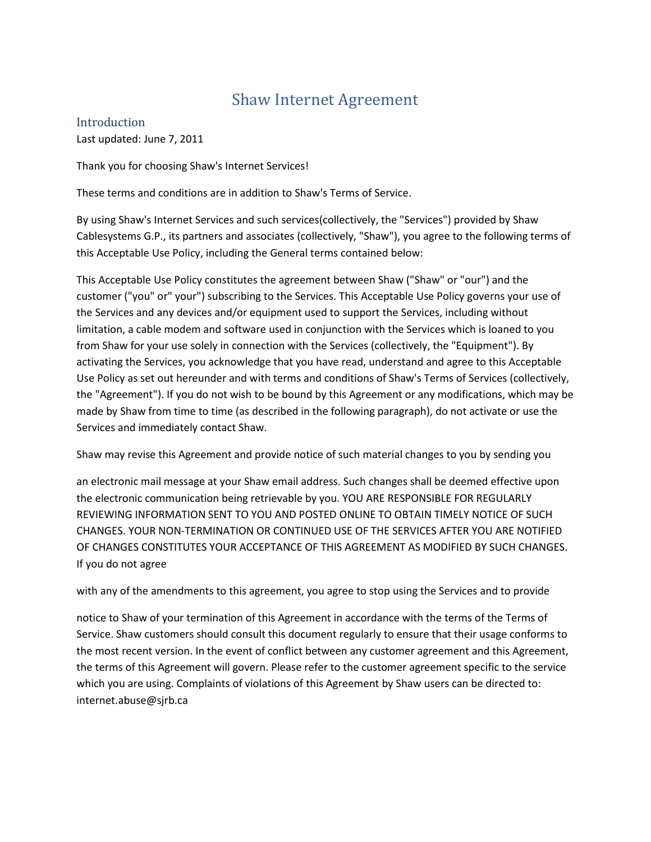# Shaw Internet Agreement

Introduction Last updated: June 7, 2011

Thank you for choosing Shaw's Internet Services!

These terms and conditions are in addition to Shaw's Terms of Service.

By using Shaw's Internet Services and such services(collectively, the "Services") provided by Shaw Cablesystems G.P., its partners and associates (collectively, "Shaw"), you agree to the following terms of this Acceptable Use Policy, including the General terms contained below:

This Acceptable Use Policy constitutes the agreement between Shaw ("Shaw" or "our") and the customer ("you" or" your") subscribing to the Services. This Acceptable Use Policy governs your use of the Services and any devices and/or equipment used to support the Services, including without limitation, a cable modem and software used in conjunction with the Services which is loaned to you from Shaw for your use solely in connection with the Services (collectively, the "Equipment"). By activating the Services, you acknowledge that you have read, understand and agree to this Acceptable Use Policy as set out hereunder and with terms and conditions of Shaw's Terms of Services (collectively, the "Agreement"). If you do not wish to be bound by this Agreement or any modifications, which may be made by Shaw from time to time (as described in the following paragraph), do not activate or use the Services and immediately contact Shaw.

Shaw may revise this Agreement and provide notice of such material changes to you by sending you

an electronic mail message at your Shaw email address. Such changes shall be deemed effective upon the electronic communication being retrievable by you. YOU ARE RESPONSIBLE FOR REGULARLY REVIEWING INFORMATION SENT TO YOU AND POSTED ONLINE TO OBTAIN TIMELY NOTICE OF SUCH CHANGES. YOUR NON-TERMINATION OR CONTINUED USE OF THE SERVICES AFTER YOU ARE NOTIFIED OF CHANGES CONSTITUTES YOUR ACCEPTANCE OF THIS AGREEMENT AS MODIFIED BY SUCH CHANGES. If you do not agree

with any of the amendments to this agreement, you agree to stop using the Services and to provide

notice to Shaw of your termination of this Agreement in accordance with the terms of the Terms of Service. Shaw customers should consult this document regularly to ensure that their usage conforms to the most recent version. In the event of conflict between any customer agreement and this Agreement, the terms of this Agreement will govern. Please refer to the customer agreement specific to the service which you are using. Complaints of violations of this Agreement by Shaw users can be directed to: internet.abuse@sjrb.ca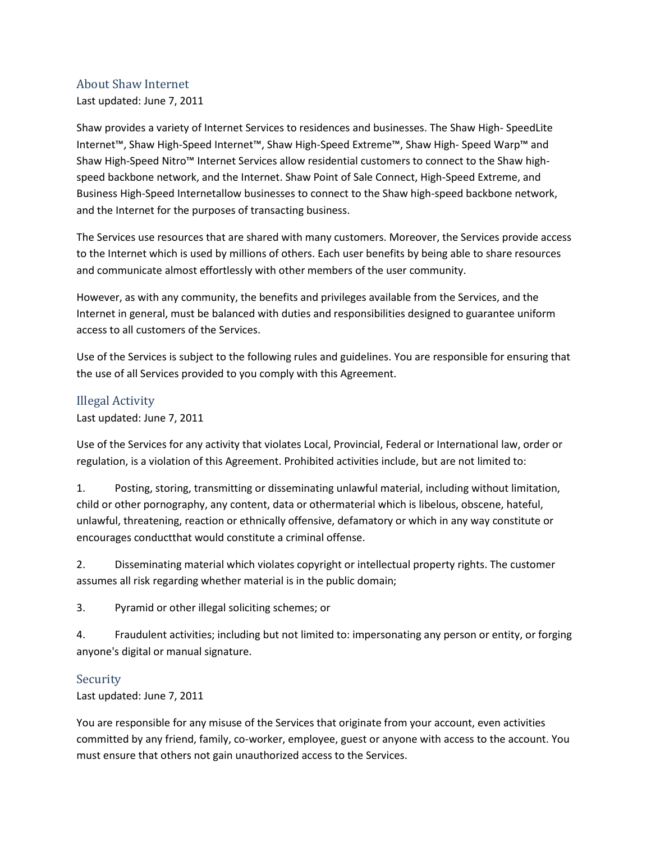## About Shaw Internet

Last updated: June 7, 2011

Shaw provides a variety of Internet Services to residences and businesses. The Shaw High- SpeedLite Internet™, Shaw High-Speed Internet™, Shaw High-Speed Extreme™, Shaw High- Speed Warp™ and Shaw High-Speed Nitro™ Internet Services allow residential customers to connect to the Shaw highspeed backbone network, and the Internet. Shaw Point of Sale Connect, High-Speed Extreme, and Business High-Speed Internetallow businesses to connect to the Shaw high-speed backbone network, and the Internet for the purposes of transacting business.

The Services use resources that are shared with many customers. Moreover, the Services provide access to the Internet which is used by millions of others. Each user benefits by being able to share resources and communicate almost effortlessly with other members of the user community.

However, as with any community, the benefits and privileges available from the Services, and the Internet in general, must be balanced with duties and responsibilities designed to guarantee uniform access to all customers of the Services.

Use of the Services is subject to the following rules and guidelines. You are responsible for ensuring that the use of all Services provided to you comply with this Agreement.

# Illegal Activity

## Last updated: June 7, 2011

Use of the Services for any activity that violates Local, Provincial, Federal or International law, order or regulation, is a violation of this Agreement. Prohibited activities include, but are not limited to:

1. Posting, storing, transmitting or disseminating unlawful material, including without limitation, child or other pornography, any content, data or othermaterial which is libelous, obscene, hateful, unlawful, threatening, reaction or ethnically offensive, defamatory or which in any way constitute or encourages conductthat would constitute a criminal offense.

2. Disseminating material which violates copyright or intellectual property rights. The customer assumes all risk regarding whether material is in the public domain;

3. Pyramid or other illegal soliciting schemes; or

4. Fraudulent activities; including but not limited to: impersonating any person or entity, or forging anyone's digital or manual signature.

# **Security**

Last updated: June 7, 2011

You are responsible for any misuse of the Services that originate from your account, even activities committed by any friend, family, co-worker, employee, guest or anyone with access to the account. You must ensure that others not gain unauthorized access to the Services.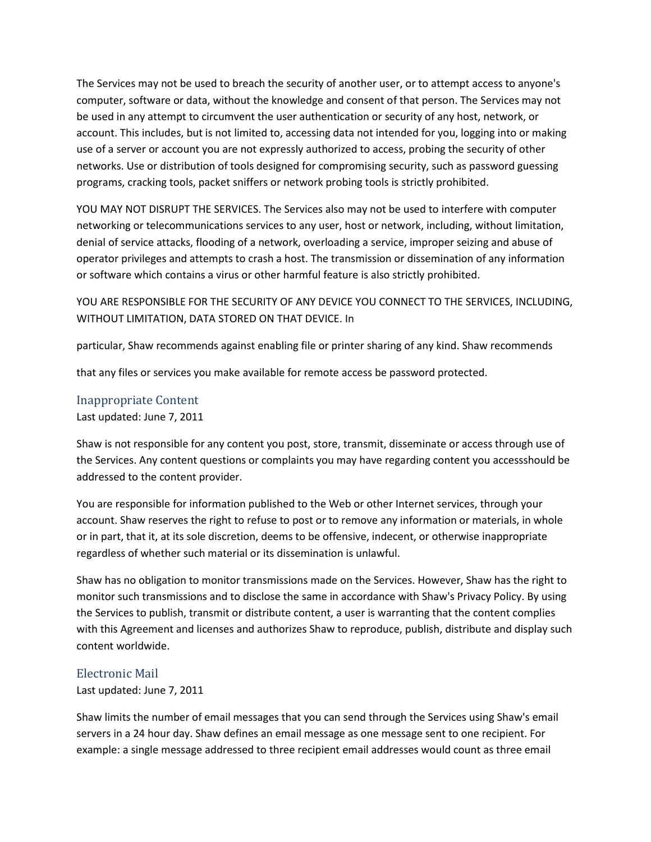The Services may not be used to breach the security of another user, or to attempt access to anyone's computer, software or data, without the knowledge and consent of that person. The Services may not be used in any attempt to circumvent the user authentication or security of any host, network, or account. This includes, but is not limited to, accessing data not intended for you, logging into or making use of a server or account you are not expressly authorized to access, probing the security of other networks. Use or distribution of tools designed for compromising security, such as password guessing programs, cracking tools, packet sniffers or network probing tools is strictly prohibited.

YOU MAY NOT DISRUPT THE SERVICES. The Services also may not be used to interfere with computer networking or telecommunications services to any user, host or network, including, without limitation, denial of service attacks, flooding of a network, overloading a service, improper seizing and abuse of operator privileges and attempts to crash a host. The transmission or dissemination of any information or software which contains a virus or other harmful feature is also strictly prohibited.

YOU ARE RESPONSIBLE FOR THE SECURITY OF ANY DEVICE YOU CONNECT TO THE SERVICES, INCLUDING, WITHOUT LIMITATION, DATA STORED ON THAT DEVICE. In

particular, Shaw recommends against enabling file or printer sharing of any kind. Shaw recommends

that any files or services you make available for remote access be password protected.

#### Inappropriate Content

Last updated: June 7, 2011

Shaw is not responsible for any content you post, store, transmit, disseminate or access through use of the Services. Any content questions or complaints you may have regarding content you accessshould be addressed to the content provider.

You are responsible for information published to the Web or other Internet services, through your account. Shaw reserves the right to refuse to post or to remove any information or materials, in whole or in part, that it, at its sole discretion, deems to be offensive, indecent, or otherwise inappropriate regardless of whether such material or its dissemination is unlawful.

Shaw has no obligation to monitor transmissions made on the Services. However, Shaw has the right to monitor such transmissions and to disclose the same in accordance with Shaw's Privacy Policy. By using the Services to publish, transmit or distribute content, a user is warranting that the content complies with this Agreement and licenses and authorizes Shaw to reproduce, publish, distribute and display such content worldwide.

#### Electronic Mail

Last updated: June 7, 2011

Shaw limits the number of email messages that you can send through the Services using Shaw's email servers in a 24 hour day. Shaw defines an email message as one message sent to one recipient. For example: a single message addressed to three recipient email addresses would count as three email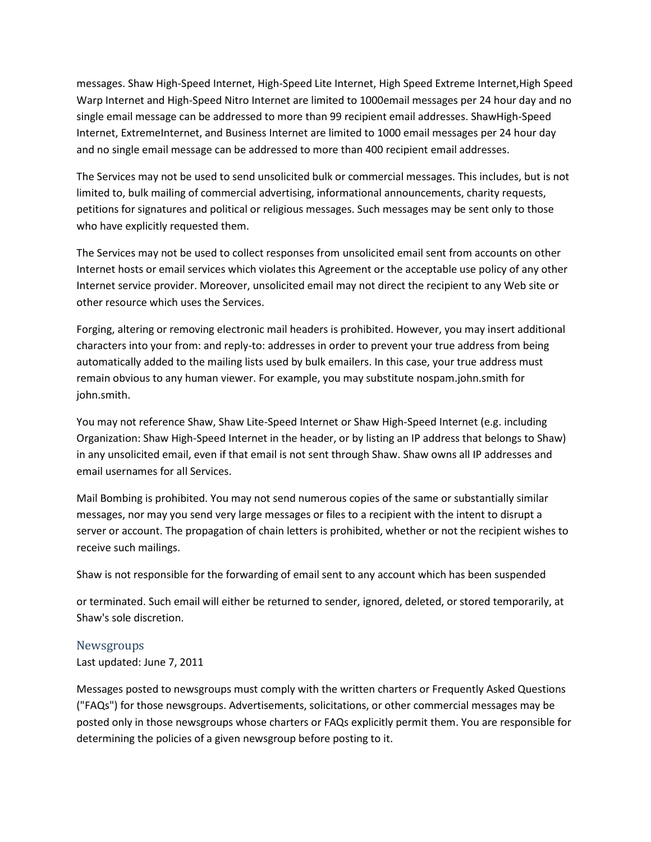messages. Shaw High-Speed Internet, High-Speed Lite Internet, High Speed Extreme Internet,High Speed Warp Internet and High-Speed Nitro Internet are limited to 1000email messages per 24 hour day and no single email message can be addressed to more than 99 recipient email addresses. ShawHigh-Speed Internet, ExtremeInternet, and Business Internet are limited to 1000 email messages per 24 hour day and no single email message can be addressed to more than 400 recipient email addresses.

The Services may not be used to send unsolicited bulk or commercial messages. This includes, but is not limited to, bulk mailing of commercial advertising, informational announcements, charity requests, petitions for signatures and political or religious messages. Such messages may be sent only to those who have explicitly requested them.

The Services may not be used to collect responses from unsolicited email sent from accounts on other Internet hosts or email services which violates this Agreement or the acceptable use policy of any other Internet service provider. Moreover, unsolicited email may not direct the recipient to any Web site or other resource which uses the Services.

Forging, altering or removing electronic mail headers is prohibited. However, you may insert additional characters into your from: and reply-to: addresses in order to prevent your true address from being automatically added to the mailing lists used by bulk emailers. In this case, your true address must remain obvious to any human viewer. For example, you may substitute nospam.john.smith for john.smith.

You may not reference Shaw, Shaw Lite-Speed Internet or Shaw High-Speed Internet (e.g. including Organization: Shaw High-Speed Internet in the header, or by listing an IP address that belongs to Shaw) in any unsolicited email, even if that email is not sent through Shaw. Shaw owns all IP addresses and email usernames for all Services.

Mail Bombing is prohibited. You may not send numerous copies of the same or substantially similar messages, nor may you send very large messages or files to a recipient with the intent to disrupt a server or account. The propagation of chain letters is prohibited, whether or not the recipient wishes to receive such mailings.

Shaw is not responsible for the forwarding of email sent to any account which has been suspended

or terminated. Such email will either be returned to sender, ignored, deleted, or stored temporarily, at Shaw's sole discretion.

#### Newsgroups

Last updated: June 7, 2011

Messages posted to newsgroups must comply with the written charters or Frequently Asked Questions ("FAQs") for those newsgroups. Advertisements, solicitations, or other commercial messages may be posted only in those newsgroups whose charters or FAQs explicitly permit them. You are responsible for determining the policies of a given newsgroup before posting to it.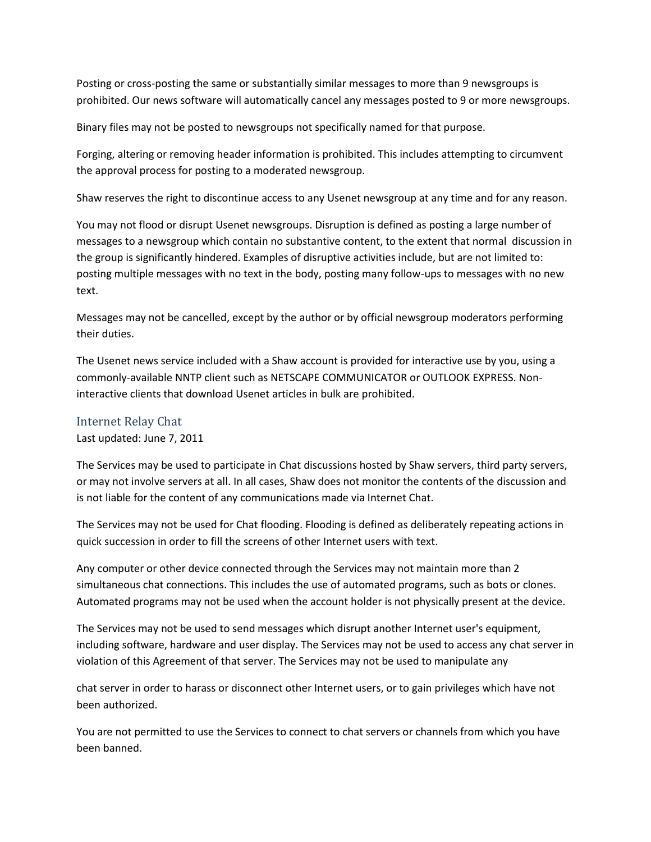Posting or cross-posting the same or substantially similar messages to more than 9 newsgroups is prohibited. Our news software will automatically cancel any messages posted to 9 or more newsgroups.

Binary files may not be posted to newsgroups not specifically named for that purpose.

Forging, altering or removing header information is prohibited. This includes attempting to circumvent the approval process for posting to a moderated newsgroup.

Shaw reserves the right to discontinue access to any Usenet newsgroup at any time and for any reason.

You may not flood or disrupt Usenet newsgroups. Disruption is defined as posting a large number of messages to a newsgroup which contain no substantive content, to the extent that normal discussion in the group is significantly hindered. Examples of disruptive activities include, but are not limited to: posting multiple messages with no text in the body, posting many follow-ups to messages with no new text.

Messages may not be cancelled, except by the author or by official newsgroup moderators performing their duties.

The Usenet news service included with a Shaw account is provided for interactive use by you, using a commonly-available NNTP client such as NETSCAPE COMMUNICATOR or OUTLOOK EXPRESS. Noninteractive clients that download Usenet articles in bulk are prohibited.

#### Internet Relay Chat

Last updated: June 7, 2011

The Services may be used to participate in Chat discussions hosted by Shaw servers, third party servers, or may not involve servers at all. In all cases, Shaw does not monitor the contents of the discussion and is not liable for the content of any communications made via Internet Chat.

The Services may not be used for Chat flooding. Flooding is defined as deliberately repeating actions in quick succession in order to fill the screens of other Internet users with text.

Any computer or other device connected through the Services may not maintain more than 2 simultaneous chat connections. This includes the use of automated programs, such as bots or clones. Automated programs may not be used when the account holder is not physically present at the device.

The Services may not be used to send messages which disrupt another Internet user's equipment, including software, hardware and user display. The Services may not be used to access any chat server in violation of this Agreement of that server. The Services may not be used to manipulate any

chat server in order to harass or disconnect other Internet users, or to gain privileges which have not been authorized.

You are not permitted to use the Services to connect to chat servers or channels from which you have been banned.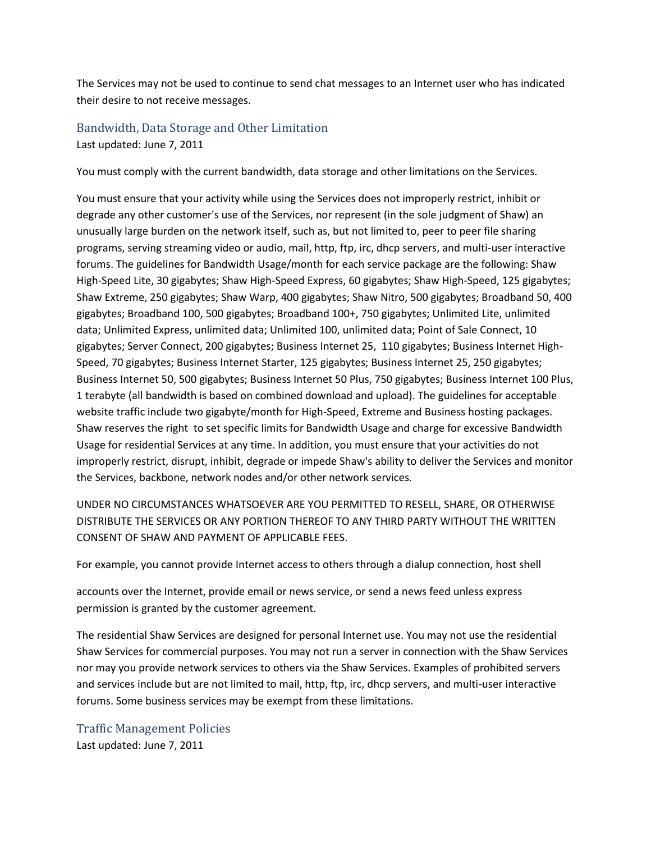The Services may not be used to continue to send chat messages to an Internet user who has indicated their desire to not receive messages.

Bandwidth, Data Storage and Other Limitation Last updated: June 7, 2011

You must comply with the current bandwidth, data storage and other limitations on the Services.

You must ensure that your activity while using the Services does not improperly restrict, inhibit or degrade any other customer's use of the Services, nor represent (in the sole judgment of Shaw) an unusually large burden on the network itself, such as, but not limited to, peer to peer file sharing programs, serving streaming video or audio, mail, http, ftp, irc, dhcp servers, and multi-user interactive forums. The guidelines for Bandwidth Usage/month for each service package are the following: Shaw High-Speed Lite, 30 gigabytes; Shaw High-Speed Express, 60 gigabytes; Shaw High-Speed, 125 gigabytes; Shaw Extreme, 250 gigabytes; Shaw Warp, 400 gigabytes; Shaw Nitro, 500 gigabytes; Broadband 50, 400 gigabytes; Broadband 100, 500 gigabytes; Broadband 100+, 750 gigabytes; Unlimited Lite, unlimited data; Unlimited Express, unlimited data; Unlimited 100, unlimited data; Point of Sale Connect, 10 gigabytes; Server Connect, 200 gigabytes; Business Internet 25, 110 gigabytes; Business Internet High-Speed, 70 gigabytes; Business Internet Starter, 125 gigabytes; Business Internet 25, 250 gigabytes; Business Internet 50, 500 gigabytes; Business Internet 50 Plus, 750 gigabytes; Business Internet 100 Plus, 1 terabyte (all bandwidth is based on combined download and upload). The guidelines for acceptable website traffic include two gigabyte/month for High-Speed, Extreme and Business hosting packages. Shaw reserves the right to set specific limits for Bandwidth Usage and charge for excessive Bandwidth Usage for residential Services at any time. In addition, you must ensure that your activities do not improperly restrict, disrupt, inhibit, degrade or impede Shaw's ability to deliver the Services and monitor the Services, backbone, network nodes and/or other network services.

UNDER NO CIRCUMSTANCES WHATSOEVER ARE YOU PERMITTED TO RESELL, SHARE, OR OTHERWISE DISTRIBUTE THE SERVICES OR ANY PORTION THEREOF TO ANY THIRD PARTY WITHOUT THE WRITTEN CONSENT OF SHAW AND PAYMENT OF APPLICABLE FEES.

For example, you cannot provide Internet access to others through a dialup connection, host shell

accounts over the Internet, provide email or news service, or send a news feed unless express permission is granted by the customer agreement.

The residential Shaw Services are designed for personal Internet use. You may not use the residential Shaw Services for commercial purposes. You may not run a server in connection with the Shaw Services nor may you provide network services to others via the Shaw Services. Examples of prohibited servers and services include but are not limited to mail, http, ftp, irc, dhcp servers, and multi-user interactive forums. Some business services may be exempt from these limitations.

Traffic Management Policies Last updated: June 7, 2011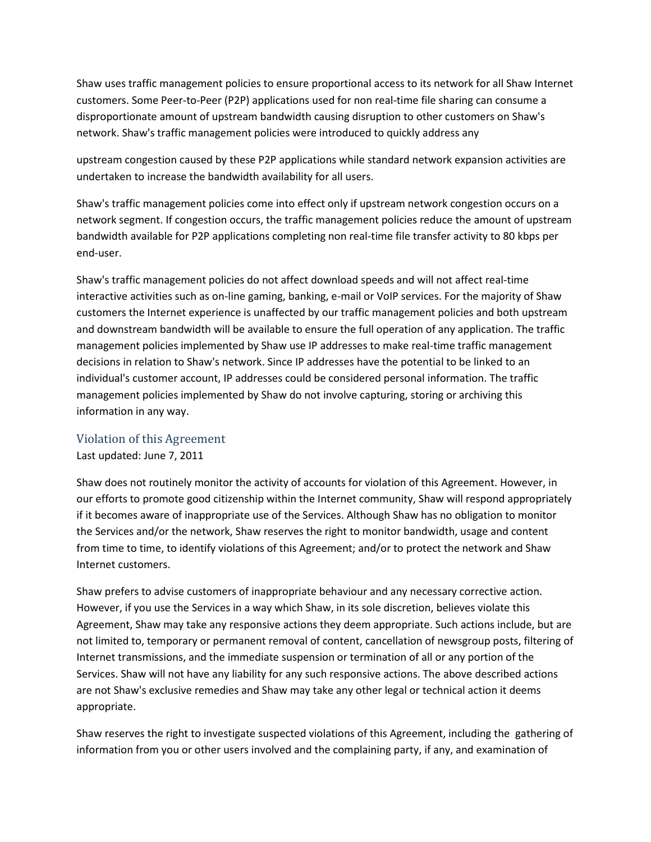Shaw uses traffic management policies to ensure proportional access to its network for all Shaw Internet customers. Some Peer-to-Peer (P2P) applications used for non real-time file sharing can consume a disproportionate amount of upstream bandwidth causing disruption to other customers on Shaw's network. Shaw's traffic management policies were introduced to quickly address any

upstream congestion caused by these P2P applications while standard network expansion activities are undertaken to increase the bandwidth availability for all users.

Shaw's traffic management policies come into effect only if upstream network congestion occurs on a network segment. If congestion occurs, the traffic management policies reduce the amount of upstream bandwidth available for P2P applications completing non real-time file transfer activity to 80 kbps per end-user.

Shaw's traffic management policies do not affect download speeds and will not affect real-time interactive activities such as on-line gaming, banking, e-mail or VoIP services. For the majority of Shaw customers the Internet experience is unaffected by our traffic management policies and both upstream and downstream bandwidth will be available to ensure the full operation of any application. The traffic management policies implemented by Shaw use IP addresses to make real-time traffic management decisions in relation to Shaw's network. Since IP addresses have the potential to be linked to an individual's customer account, IP addresses could be considered personal information. The traffic management policies implemented by Shaw do not involve capturing, storing or archiving this information in any way.

### Violation of this Agreement

Last updated: June 7, 2011

Shaw does not routinely monitor the activity of accounts for violation of this Agreement. However, in our efforts to promote good citizenship within the Internet community, Shaw will respond appropriately if it becomes aware of inappropriate use of the Services. Although Shaw has no obligation to monitor the Services and/or the network, Shaw reserves the right to monitor bandwidth, usage and content from time to time, to identify violations of this Agreement; and/or to protect the network and Shaw Internet customers.

Shaw prefers to advise customers of inappropriate behaviour and any necessary corrective action. However, if you use the Services in a way which Shaw, in its sole discretion, believes violate this Agreement, Shaw may take any responsive actions they deem appropriate. Such actions include, but are not limited to, temporary or permanent removal of content, cancellation of newsgroup posts, filtering of Internet transmissions, and the immediate suspension or termination of all or any portion of the Services. Shaw will not have any liability for any such responsive actions. The above described actions are not Shaw's exclusive remedies and Shaw may take any other legal or technical action it deems appropriate.

Shaw reserves the right to investigate suspected violations of this Agreement, including the gathering of information from you or other users involved and the complaining party, if any, and examination of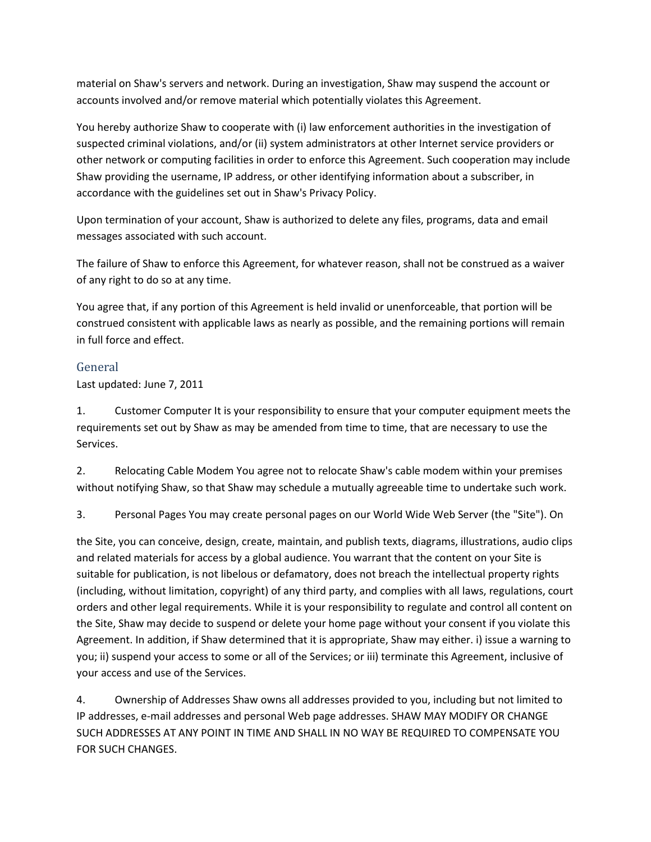material on Shaw's servers and network. During an investigation, Shaw may suspend the account or accounts involved and/or remove material which potentially violates this Agreement.

You hereby authorize Shaw to cooperate with (i) law enforcement authorities in the investigation of suspected criminal violations, and/or (ii) system administrators at other Internet service providers or other network or computing facilities in order to enforce this Agreement. Such cooperation may include Shaw providing the username, IP address, or other identifying information about a subscriber, in accordance with the guidelines set out in Shaw's Privacy Policy.

Upon termination of your account, Shaw is authorized to delete any files, programs, data and email messages associated with such account.

The failure of Shaw to enforce this Agreement, for whatever reason, shall not be construed as a waiver of any right to do so at any time.

You agree that, if any portion of this Agreement is held invalid or unenforceable, that portion will be construed consistent with applicable laws as nearly as possible, and the remaining portions will remain in full force and effect.

# General

Last updated: June 7, 2011

1. Customer Computer It is your responsibility to ensure that your computer equipment meets the requirements set out by Shaw as may be amended from time to time, that are necessary to use the Services.

2. Relocating Cable Modem You agree not to relocate Shaw's cable modem within your premises without notifying Shaw, so that Shaw may schedule a mutually agreeable time to undertake such work.

3. Personal Pages You may create personal pages on our World Wide Web Server (the "Site"). On

the Site, you can conceive, design, create, maintain, and publish texts, diagrams, illustrations, audio clips and related materials for access by a global audience. You warrant that the content on your Site is suitable for publication, is not libelous or defamatory, does not breach the intellectual property rights (including, without limitation, copyright) of any third party, and complies with all laws, regulations, court orders and other legal requirements. While it is your responsibility to regulate and control all content on the Site, Shaw may decide to suspend or delete your home page without your consent if you violate this Agreement. In addition, if Shaw determined that it is appropriate, Shaw may either. i) issue a warning to you; ii) suspend your access to some or all of the Services; or iii) terminate this Agreement, inclusive of your access and use of the Services.

4. Ownership of Addresses Shaw owns all addresses provided to you, including but not limited to IP addresses, e-mail addresses and personal Web page addresses. SHAW MAY MODIFY OR CHANGE SUCH ADDRESSES AT ANY POINT IN TIME AND SHALL IN NO WAY BE REQUIRED TO COMPENSATE YOU FOR SUCH CHANGES.